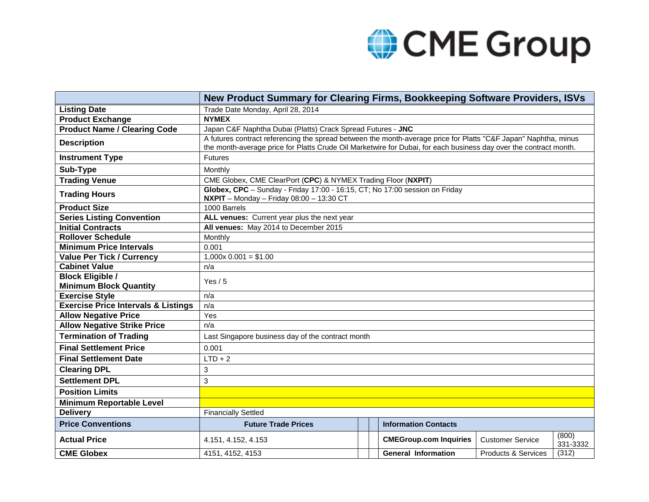## CME Group

|                                                          | New Product Summary for Clearing Firms, Bookkeeping Software Providers, ISVs                                                                                                                                                         |  |                               |                         |                   |  |  |  |
|----------------------------------------------------------|--------------------------------------------------------------------------------------------------------------------------------------------------------------------------------------------------------------------------------------|--|-------------------------------|-------------------------|-------------------|--|--|--|
| <b>Listing Date</b>                                      | Trade Date Monday, April 28, 2014                                                                                                                                                                                                    |  |                               |                         |                   |  |  |  |
| <b>Product Exchange</b>                                  | <b>NYMEX</b>                                                                                                                                                                                                                         |  |                               |                         |                   |  |  |  |
| <b>Product Name / Clearing Code</b>                      | Japan C&F Naphtha Dubai (Platts) Crack Spread Futures - JNC                                                                                                                                                                          |  |                               |                         |                   |  |  |  |
| <b>Description</b>                                       | A futures contract referencing the spread between the month-average price for Platts "C&F Japan" Naphtha, minus<br>the month-average price for Platts Crude Oil Marketwire for Dubai, for each business day over the contract month. |  |                               |                         |                   |  |  |  |
| <b>Instrument Type</b>                                   | <b>Futures</b>                                                                                                                                                                                                                       |  |                               |                         |                   |  |  |  |
| Sub-Type                                                 | Monthly                                                                                                                                                                                                                              |  |                               |                         |                   |  |  |  |
| <b>Trading Venue</b>                                     | CME Globex, CME ClearPort (CPC) & NYMEX Trading Floor (NXPIT)                                                                                                                                                                        |  |                               |                         |                   |  |  |  |
| <b>Trading Hours</b>                                     | Globex, CPC - Sunday - Friday 17:00 - 16:15, CT; No 17:00 session on Friday<br>$NXPIT - Monday - Friday 08:00 - 13:30 CT$                                                                                                            |  |                               |                         |                   |  |  |  |
| <b>Product Size</b>                                      | 1000 Barrels                                                                                                                                                                                                                         |  |                               |                         |                   |  |  |  |
| <b>Series Listing Convention</b>                         | ALL venues: Current year plus the next year                                                                                                                                                                                          |  |                               |                         |                   |  |  |  |
| <b>Initial Contracts</b>                                 | All venues: May 2014 to December 2015                                                                                                                                                                                                |  |                               |                         |                   |  |  |  |
| <b>Rollover Schedule</b>                                 | Monthly                                                                                                                                                                                                                              |  |                               |                         |                   |  |  |  |
| <b>Minimum Price Intervals</b>                           | 0.001                                                                                                                                                                                                                                |  |                               |                         |                   |  |  |  |
| <b>Value Per Tick / Currency</b>                         | $1,000x$ 0.001 = \$1.00                                                                                                                                                                                                              |  |                               |                         |                   |  |  |  |
| <b>Cabinet Value</b>                                     | n/a                                                                                                                                                                                                                                  |  |                               |                         |                   |  |  |  |
| <b>Block Eligible /</b><br><b>Minimum Block Quantity</b> | Yes $/5$                                                                                                                                                                                                                             |  |                               |                         |                   |  |  |  |
| <b>Exercise Style</b>                                    | n/a                                                                                                                                                                                                                                  |  |                               |                         |                   |  |  |  |
| <b>Exercise Price Intervals &amp; Listings</b>           | n/a                                                                                                                                                                                                                                  |  |                               |                         |                   |  |  |  |
| <b>Allow Negative Price</b>                              | Yes                                                                                                                                                                                                                                  |  |                               |                         |                   |  |  |  |
| <b>Allow Negative Strike Price</b>                       | n/a                                                                                                                                                                                                                                  |  |                               |                         |                   |  |  |  |
| <b>Termination of Trading</b>                            | Last Singapore business day of the contract month                                                                                                                                                                                    |  |                               |                         |                   |  |  |  |
| <b>Final Settlement Price</b>                            | 0.001                                                                                                                                                                                                                                |  |                               |                         |                   |  |  |  |
| <b>Final Settlement Date</b>                             | $LTD + 2$                                                                                                                                                                                                                            |  |                               |                         |                   |  |  |  |
| <b>Clearing DPL</b>                                      | 3                                                                                                                                                                                                                                    |  |                               |                         |                   |  |  |  |
| <b>Settlement DPL</b>                                    | 3                                                                                                                                                                                                                                    |  |                               |                         |                   |  |  |  |
| <b>Position Limits</b>                                   |                                                                                                                                                                                                                                      |  |                               |                         |                   |  |  |  |
| <b>Minimum Reportable Level</b>                          |                                                                                                                                                                                                                                      |  |                               |                         |                   |  |  |  |
| <b>Delivery</b>                                          | <b>Financially Settled</b>                                                                                                                                                                                                           |  |                               |                         |                   |  |  |  |
| <b>Price Conventions</b>                                 | <b>Future Trade Prices</b>                                                                                                                                                                                                           |  | <b>Information Contacts</b>   |                         |                   |  |  |  |
| <b>Actual Price</b>                                      | 4.151, 4.152, 4.153                                                                                                                                                                                                                  |  | <b>CMEGroup.com Inquiries</b> | <b>Customer Service</b> | (800)<br>331-3332 |  |  |  |
| <b>CME Globex</b>                                        | 4151, 4152, 4153                                                                                                                                                                                                                     |  | <b>General Information</b>    | Products & Services     | (312)             |  |  |  |